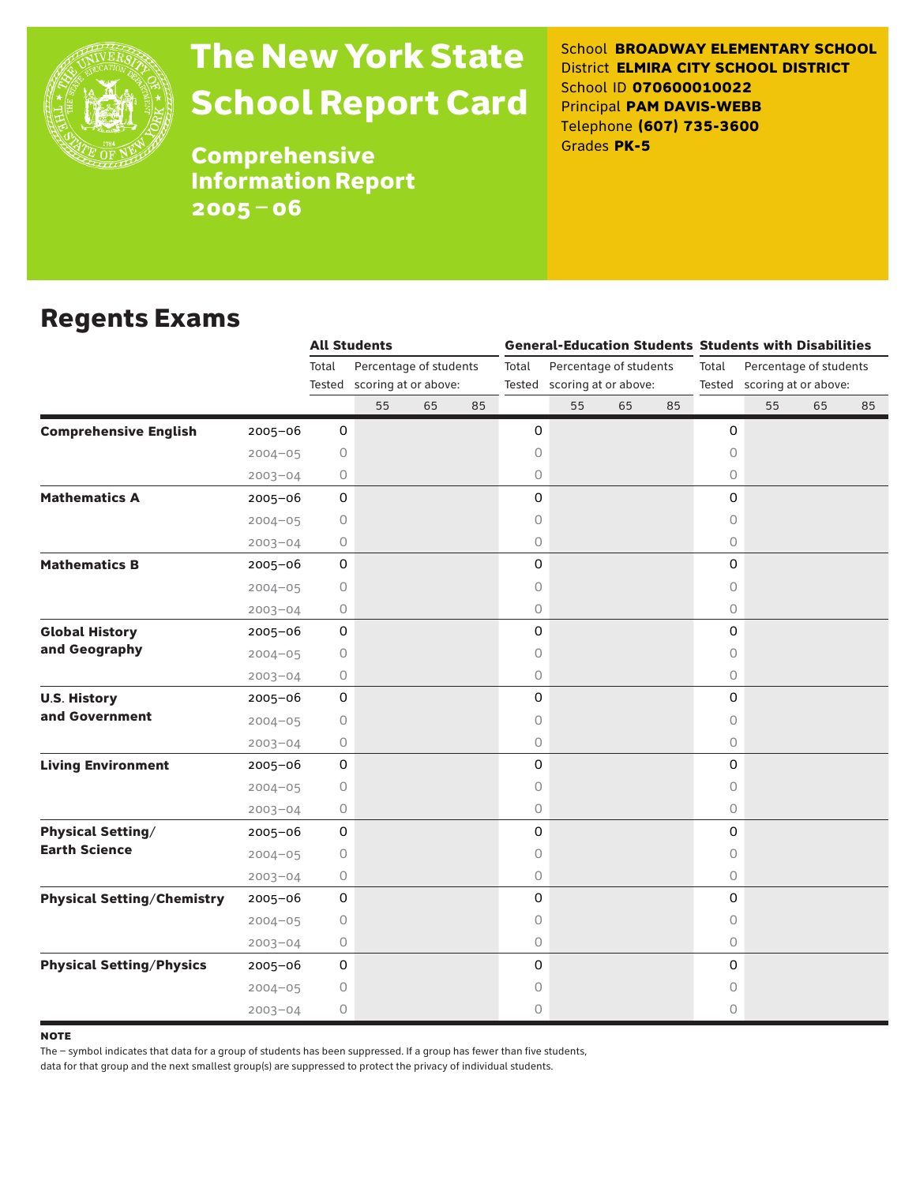

# The New York State School Report Card

School **BROADWAY ELEMENTARY SCHOOL** District **ELMIRA CITY SCHOOL DISTRICT** School ID **070600010022** Principal **PAM DAVIS-WEBB** Telephone **(607) 735-3600** Grades **PK-5**

**Comprehensive** Information Report 2005–06

### Regents Exams

|                                   |             |                     | <b>All Students</b>                                   |    |    |       |                                                       |    |    | <b>General-Education Students Students with Disabilities</b> |    |                                                       |    |  |
|-----------------------------------|-------------|---------------------|-------------------------------------------------------|----|----|-------|-------------------------------------------------------|----|----|--------------------------------------------------------------|----|-------------------------------------------------------|----|--|
|                                   |             | Total               | Percentage of students<br>Tested scoring at or above: |    |    | Total | Percentage of students<br>Tested scoring at or above: |    |    | Total                                                        |    | Percentage of students<br>Tested scoring at or above: |    |  |
|                                   |             |                     | 55                                                    | 65 | 85 |       | 55                                                    | 65 | 85 |                                                              | 55 | 65                                                    | 85 |  |
| <b>Comprehensive English</b>      | $2005 - 06$ | 0                   |                                                       |    |    | 0     |                                                       |    |    | 0                                                            |    |                                                       |    |  |
|                                   | $2004 - 05$ | 0                   |                                                       |    |    | 0     |                                                       |    |    | $\Omega$                                                     |    |                                                       |    |  |
|                                   | $2003 - 04$ | 0                   |                                                       |    |    | 0     |                                                       |    |    | $\circ$                                                      |    |                                                       |    |  |
| <b>Mathematics A</b>              | 2005-06     | $\mathsf{O}\xspace$ |                                                       |    |    | 0     |                                                       |    |    | 0                                                            |    |                                                       |    |  |
|                                   | $2004 - 05$ | 0                   |                                                       |    |    | 0     |                                                       |    |    | $\Omega$                                                     |    |                                                       |    |  |
|                                   | $2003 - 04$ | 0                   |                                                       |    |    | 0     |                                                       |    |    | $\circ$                                                      |    |                                                       |    |  |
| <b>Mathematics B</b>              | $2005 - 06$ | $\mathsf O$         |                                                       |    |    | 0     |                                                       |    |    | 0                                                            |    |                                                       |    |  |
|                                   | $2004 - 05$ | 0                   |                                                       |    |    | 0     |                                                       |    |    | $\circ$                                                      |    |                                                       |    |  |
|                                   | $2003 - 04$ | 0                   |                                                       |    |    | 0     |                                                       |    |    | $\circ$                                                      |    |                                                       |    |  |
| <b>Global History</b>             | 2005-06     | 0                   |                                                       |    |    | 0     |                                                       |    |    | 0                                                            |    |                                                       |    |  |
| and Geography                     | $2004 - 05$ | 0                   |                                                       |    |    | 0     |                                                       |    |    | $\circ$                                                      |    |                                                       |    |  |
|                                   | $2003 - 04$ | 0                   |                                                       |    |    | 0     |                                                       |    |    | $\circ$                                                      |    |                                                       |    |  |
| <b>U.S. History</b>               | 2005-06     | $\mathsf{O}\xspace$ |                                                       |    |    | 0     |                                                       |    |    | 0                                                            |    |                                                       |    |  |
| and Government                    | $2004 - 05$ | 0                   |                                                       |    |    | 0     |                                                       |    |    | 0                                                            |    |                                                       |    |  |
|                                   | $2003 - 04$ | 0                   |                                                       |    |    | 0     |                                                       |    |    | $\circ$                                                      |    |                                                       |    |  |
| <b>Living Environment</b>         | $2005 - 06$ | $\mathsf O$         |                                                       |    |    | 0     |                                                       |    |    | 0                                                            |    |                                                       |    |  |
|                                   | $2004 - 05$ | 0                   |                                                       |    |    | 0     |                                                       |    |    | $\circ$                                                      |    |                                                       |    |  |
|                                   | $2003 - 04$ | 0                   |                                                       |    |    | 0     |                                                       |    |    | $\Omega$                                                     |    |                                                       |    |  |
| <b>Physical Setting/</b>          | 2005-06     | 0                   |                                                       |    |    | 0     |                                                       |    |    | 0                                                            |    |                                                       |    |  |
| <b>Earth Science</b>              | $2004 - 05$ | 0                   |                                                       |    |    | 0     |                                                       |    |    | $\circ$                                                      |    |                                                       |    |  |
|                                   | $2003 - 04$ | 0                   |                                                       |    |    | 0     |                                                       |    |    | $\circ$                                                      |    |                                                       |    |  |
| <b>Physical Setting/Chemistry</b> | 2005-06     | $\mathsf{O}\xspace$ |                                                       |    |    | 0     |                                                       |    |    | 0                                                            |    |                                                       |    |  |
|                                   | $2004 - 05$ | 0                   |                                                       |    |    | 0     |                                                       |    |    | 0                                                            |    |                                                       |    |  |
|                                   | $2003 - 04$ | 0                   |                                                       |    |    | 0     |                                                       |    |    | $\circ$                                                      |    |                                                       |    |  |
| <b>Physical Setting/Physics</b>   | $2005 - 06$ | $\mathsf O$         |                                                       |    |    | 0     |                                                       |    |    | $\Omega$                                                     |    |                                                       |    |  |
|                                   | $2004 - 05$ | 0                   |                                                       |    |    | 0     |                                                       |    |    | 0                                                            |    |                                                       |    |  |
|                                   | $2003 - 04$ | 0                   |                                                       |    |    | 0     |                                                       |    |    | $\Omega$                                                     |    |                                                       |    |  |

**NOTE** 

The – symbol indicates that data for a group of students has been suppressed. If a group has fewer than five students,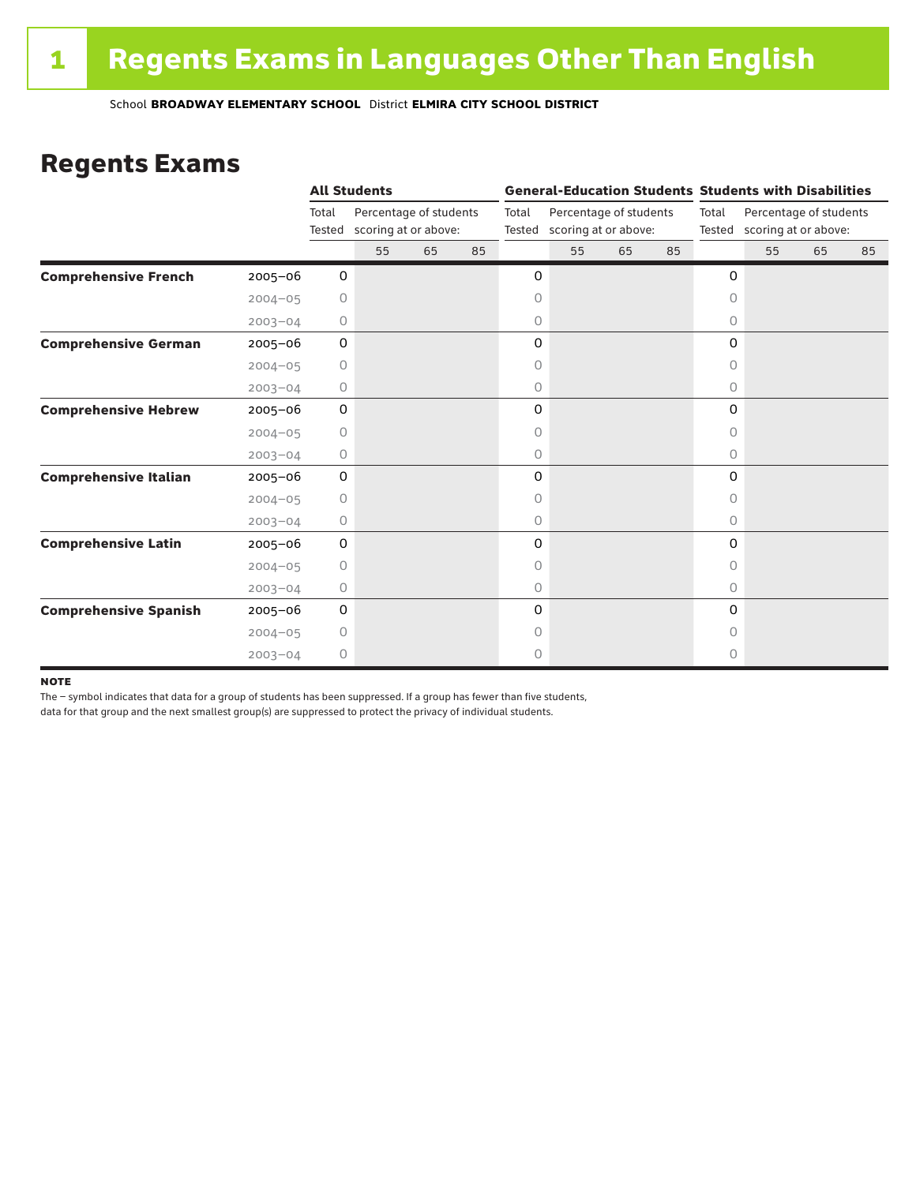### Regents Exams

|                              |             |                 | <b>All Students</b>                            |    |    |                 |                                                |    |    |           | <b>General-Education Students Students with Disabilities</b> |    |    |  |
|------------------------------|-------------|-----------------|------------------------------------------------|----|----|-----------------|------------------------------------------------|----|----|-----------|--------------------------------------------------------------|----|----|--|
|                              |             | Total<br>Tested | Percentage of students<br>scoring at or above: |    |    | Total<br>Tested | Percentage of students<br>scoring at or above: |    |    | Total     | Percentage of students<br>Tested scoring at or above:        |    |    |  |
|                              |             |                 | 55                                             | 65 | 85 |                 | 55                                             | 65 | 85 |           | 55                                                           | 65 | 85 |  |
| <b>Comprehensive French</b>  | $2005 - 06$ | 0               |                                                |    |    | 0               |                                                |    |    | 0         |                                                              |    |    |  |
|                              | $2004 - 05$ | 0               |                                                |    |    | 0               |                                                |    |    | $\circ$   |                                                              |    |    |  |
|                              | $2003 - 04$ | 0               |                                                |    |    | 0               |                                                |    |    | 0         |                                                              |    |    |  |
| <b>Comprehensive German</b>  | $2005 - 06$ | 0               |                                                |    |    | 0               |                                                |    |    | 0         |                                                              |    |    |  |
|                              | $2004 - 05$ | $\circ$         |                                                |    |    | 0               |                                                |    |    | 0         |                                                              |    |    |  |
|                              | $2003 - 04$ | 0               |                                                |    |    | 0               |                                                |    |    | 0         |                                                              |    |    |  |
| <b>Comprehensive Hebrew</b>  | $2005 - 06$ | 0               |                                                |    |    | 0               |                                                |    |    | 0         |                                                              |    |    |  |
|                              | $2004 - 05$ | 0               |                                                |    |    | 0               |                                                |    |    | 0         |                                                              |    |    |  |
|                              | $2003 - 04$ | 0               |                                                |    |    | 0               |                                                |    |    | $\circ$   |                                                              |    |    |  |
| <b>Comprehensive Italian</b> | 2005-06     | 0               |                                                |    |    | 0               |                                                |    |    | 0         |                                                              |    |    |  |
|                              | $2004 - 05$ | 0               |                                                |    |    | 0               |                                                |    |    | 0         |                                                              |    |    |  |
|                              | $2003 - 04$ | 0               |                                                |    |    | 0               |                                                |    |    | 0         |                                                              |    |    |  |
| <b>Comprehensive Latin</b>   | $2005 - 06$ | 0               |                                                |    |    | 0               |                                                |    |    | 0         |                                                              |    |    |  |
|                              | $2004 - 05$ | $\circ$         |                                                |    |    | 0               |                                                |    |    | $\bigcap$ |                                                              |    |    |  |
|                              | $2003 - 04$ | 0               |                                                |    |    | 0               |                                                |    |    | $\circ$   |                                                              |    |    |  |
| <b>Comprehensive Spanish</b> | $2005 - 06$ | 0               |                                                |    |    | 0               |                                                |    |    | $\Omega$  |                                                              |    |    |  |
|                              | $2004 - 05$ | 0               |                                                |    |    | 0               |                                                |    |    | Ω         |                                                              |    |    |  |
|                              | $2003 - 04$ | $\circ$         |                                                |    |    | 0               |                                                |    |    | 0         |                                                              |    |    |  |

#### **NOTE**

The – symbol indicates that data for a group of students has been suppressed. If a group has fewer than five students,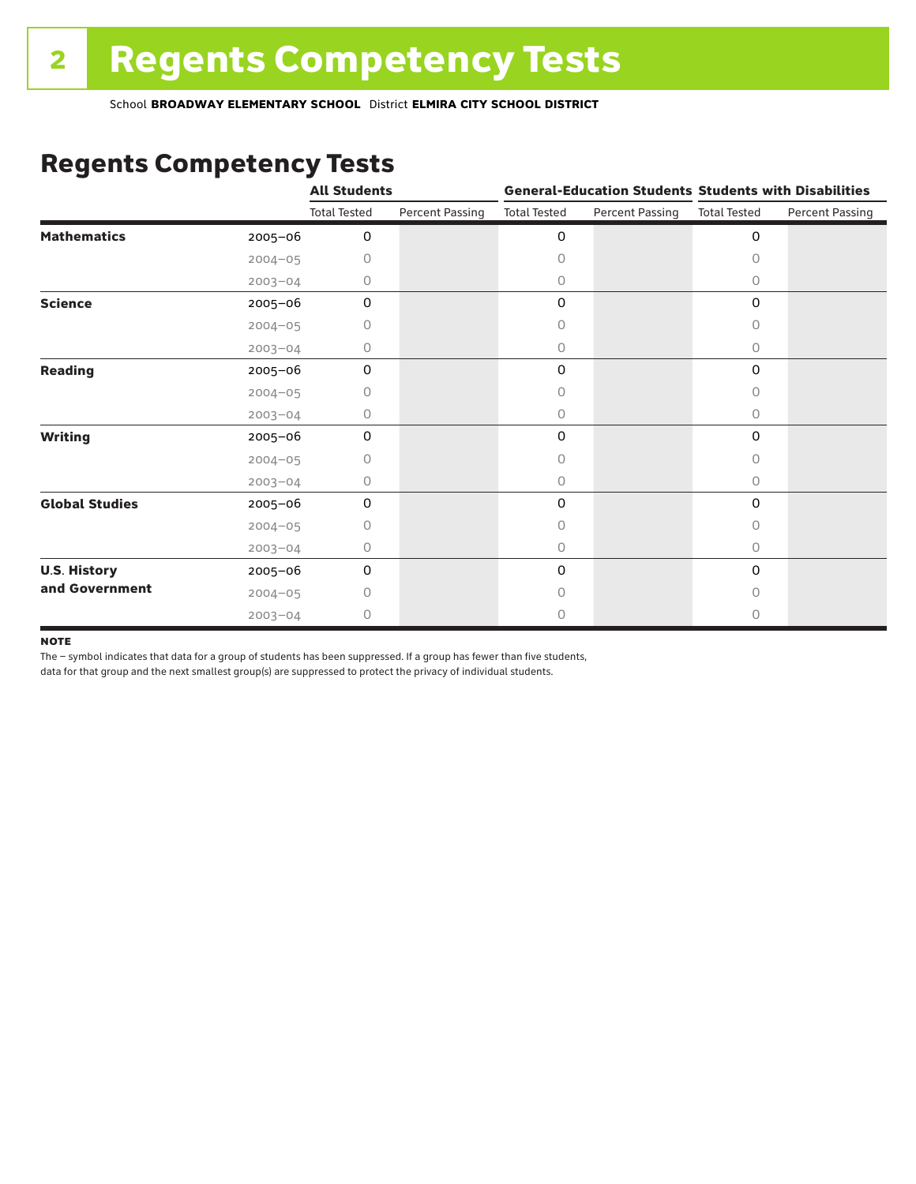### Regents Competency Tests

|                       |             | <b>All Students</b> |                        |                     |                        | <b>General-Education Students Students with Disabilities</b> |                        |  |
|-----------------------|-------------|---------------------|------------------------|---------------------|------------------------|--------------------------------------------------------------|------------------------|--|
|                       |             | <b>Total Tested</b> | <b>Percent Passing</b> | <b>Total Tested</b> | <b>Percent Passing</b> | <b>Total Tested</b>                                          | <b>Percent Passing</b> |  |
| <b>Mathematics</b>    | 2005-06     | 0                   |                        | 0                   |                        | $\mathbf 0$                                                  |                        |  |
|                       | $2004 - 05$ | 0                   |                        | 0                   |                        | $\Omega$                                                     |                        |  |
|                       | $2003 - 04$ | 0                   |                        | 0                   |                        | 0                                                            |                        |  |
| <b>Science</b>        | 2005-06     | 0                   |                        | 0                   |                        | $\mathbf 0$                                                  |                        |  |
|                       | $2004 - 05$ | 0                   |                        | 0                   |                        | 0                                                            |                        |  |
|                       | $2003 - 04$ | 0                   |                        | 0                   |                        | 0                                                            |                        |  |
| <b>Reading</b>        | 2005-06     | 0                   |                        | 0                   |                        | 0                                                            |                        |  |
|                       | $2004 - 05$ | 0                   |                        | 0                   |                        | 0                                                            |                        |  |
|                       | $2003 - 04$ | 0                   |                        | 0                   |                        | 0                                                            |                        |  |
| <b>Writing</b>        | 2005-06     | 0                   |                        | 0                   |                        | $\mathbf 0$                                                  |                        |  |
|                       | $2004 - 05$ | 0                   |                        | 0                   |                        | $\Omega$                                                     |                        |  |
|                       | $2003 - 04$ | 0                   |                        | 0                   |                        | $\circ$                                                      |                        |  |
| <b>Global Studies</b> | 2005-06     | $\mathbf 0$         |                        | 0                   |                        | 0                                                            |                        |  |
|                       | $2004 - 05$ | 0                   |                        | 0                   |                        | 0                                                            |                        |  |
|                       | $2003 - 04$ | 0                   |                        | 0                   |                        | $\circ$                                                      |                        |  |
| <b>U.S. History</b>   | 2005-06     | 0                   |                        | 0                   |                        | $\mathbf 0$                                                  |                        |  |
| and Government        | $2004 - 05$ | Ω                   |                        | Ω                   |                        | 0                                                            |                        |  |
|                       | $2003 - 04$ | 0                   |                        | 0                   |                        | 0                                                            |                        |  |

#### **NOTE**

The – symbol indicates that data for a group of students has been suppressed. If a group has fewer than five students,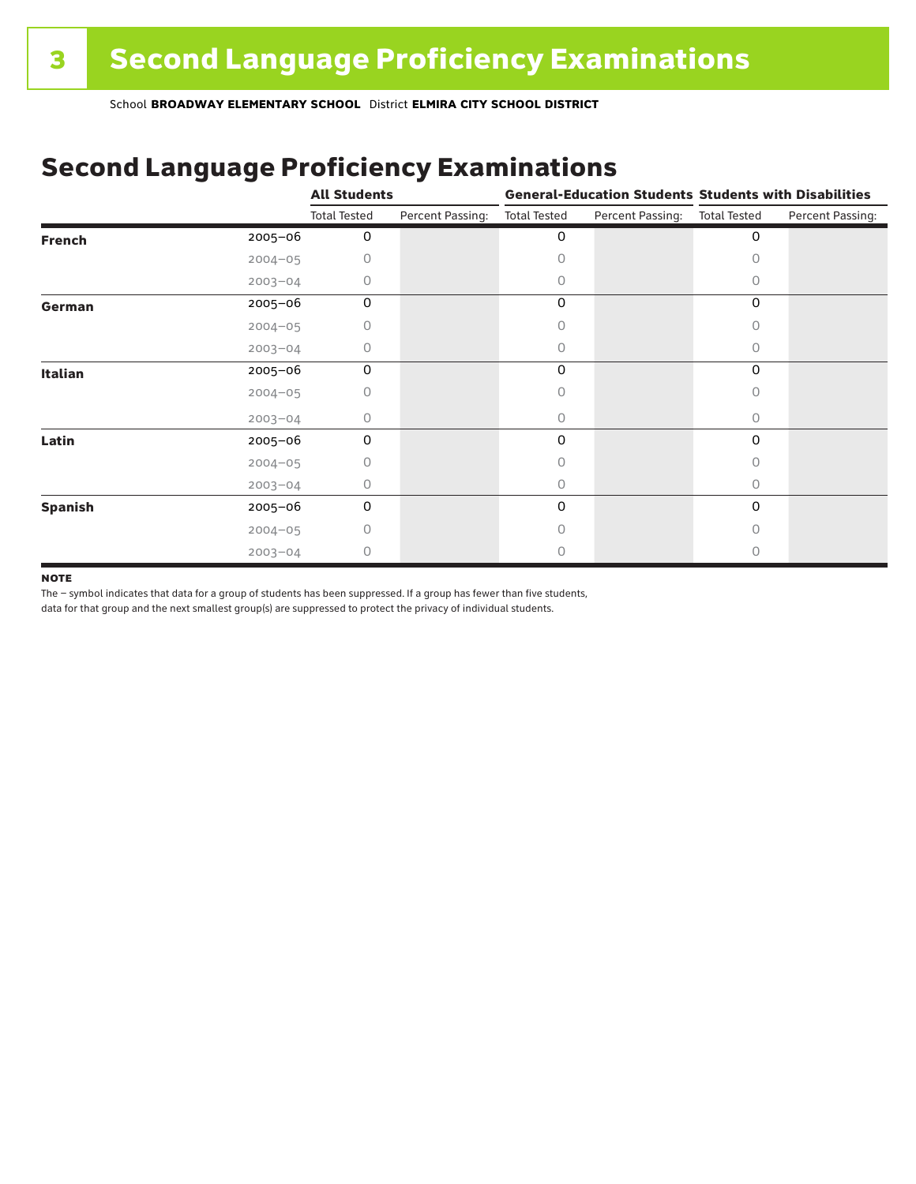## Second Language Proficiency Examinations

|                |             | <b>All Students</b> |                  | <b>General-Education Students Students with Disabilities</b> |                  |                     |                  |
|----------------|-------------|---------------------|------------------|--------------------------------------------------------------|------------------|---------------------|------------------|
|                |             | <b>Total Tested</b> | Percent Passing: | <b>Total Tested</b>                                          | Percent Passing: | <b>Total Tested</b> | Percent Passing: |
| <b>French</b>  | 2005-06     | 0                   |                  | 0                                                            |                  | 0                   |                  |
|                | $2004 - 05$ | 0                   |                  | Ω                                                            |                  |                     |                  |
|                | $2003 - 04$ | 0                   |                  | 0                                                            |                  | Ω                   |                  |
| German         | 2005-06     | 0                   |                  | 0                                                            |                  | 0                   |                  |
|                | $2004 - 05$ | 0                   |                  |                                                              |                  | 0                   |                  |
|                | $2003 - 04$ | 0                   |                  | 0                                                            |                  | 0                   |                  |
| <b>Italian</b> | 2005-06     | 0                   |                  | 0                                                            |                  | 0                   |                  |
|                | $2004 - 05$ | 0                   |                  | Ω                                                            |                  |                     |                  |
|                | $2003 - 04$ | 0                   |                  | 0                                                            |                  | 0                   |                  |
| Latin          | 2005-06     | 0                   |                  | 0                                                            |                  | 0                   |                  |
|                | $2004 - 05$ | 0                   |                  |                                                              |                  |                     |                  |
|                | $2003 - 04$ | 0                   |                  | 0                                                            |                  | 0                   |                  |
| <b>Spanish</b> | 2005-06     | 0                   |                  | 0                                                            |                  | 0                   |                  |
|                | $2004 - 05$ | 0                   |                  | Ω                                                            |                  | Ω                   |                  |
|                | $2003 - 04$ | 0                   |                  |                                                              |                  |                     |                  |

#### **NOTE**

The – symbol indicates that data for a group of students has been suppressed. If a group has fewer than five students,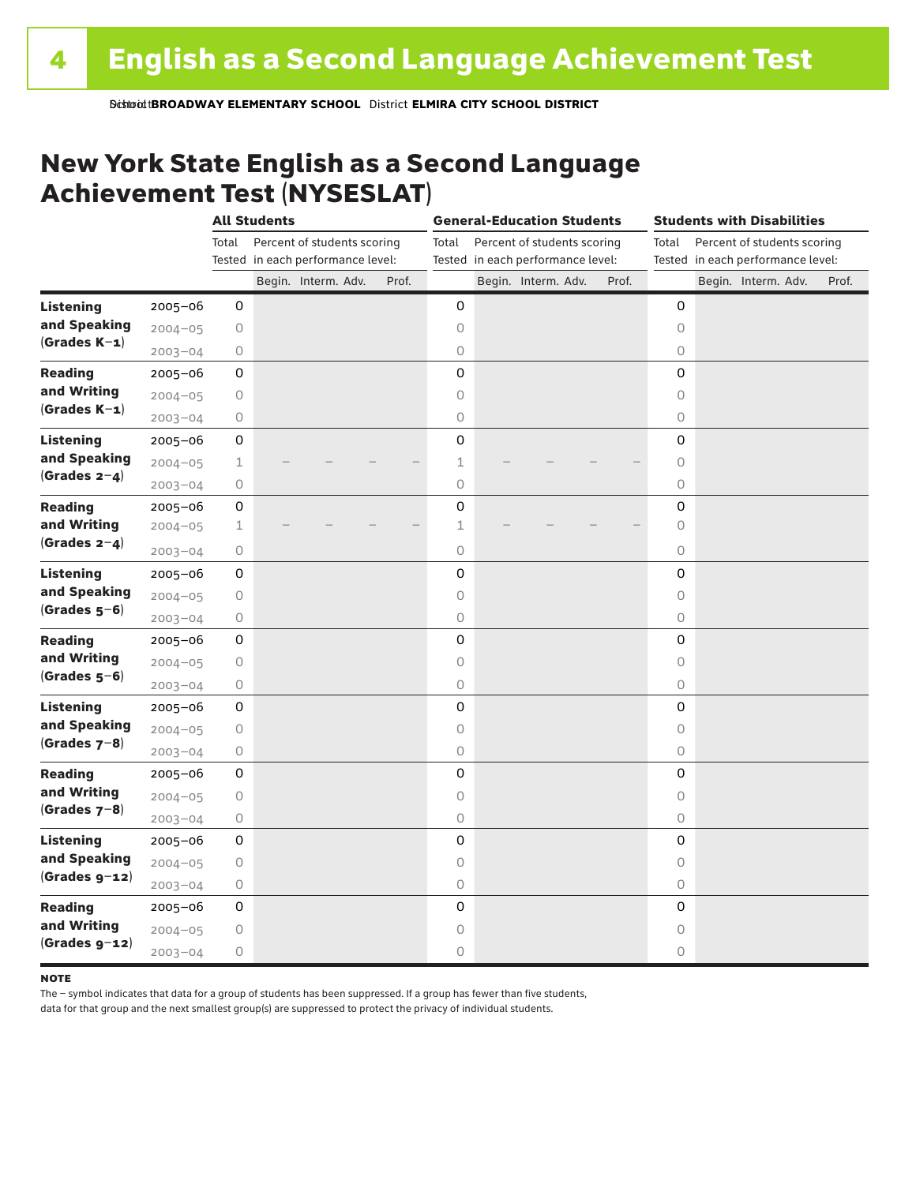### New York State English as a Second Language Achievement Test (NYSESLAT)

|                  |             | <b>All Students</b> |  |                                   | <b>General-Education Students</b> |                     |  |                                   | <b>Students with Disabilities</b> |                     |  |                                   |       |
|------------------|-------------|---------------------|--|-----------------------------------|-----------------------------------|---------------------|--|-----------------------------------|-----------------------------------|---------------------|--|-----------------------------------|-------|
|                  |             | Total               |  | Percent of students scoring       |                                   | Total               |  | Percent of students scoring       |                                   | Total               |  | Percent of students scoring       |       |
|                  |             |                     |  | Tested in each performance level: |                                   |                     |  | Tested in each performance level: |                                   |                     |  | Tested in each performance level: |       |
|                  |             |                     |  | Begin. Interm. Adv.               | Prof.                             |                     |  | Begin. Interm. Adv.               | Prof.                             |                     |  | Begin. Interm. Adv.               | Prof. |
| <b>Listening</b> | 2005-06     | 0                   |  |                                   |                                   | 0                   |  |                                   |                                   | 0                   |  |                                   |       |
| and Speaking     | $2004 - 05$ | $\bigcirc$          |  |                                   |                                   | $\circ$             |  |                                   |                                   | $\circ$             |  |                                   |       |
| $(Grades K-1)$   | $2003 - 04$ | $\bigcirc$          |  |                                   |                                   | $\circ$             |  |                                   |                                   | 0                   |  |                                   |       |
| <b>Reading</b>   | $2005 - 06$ | 0                   |  |                                   |                                   | 0                   |  |                                   |                                   | $\mathsf 0$         |  |                                   |       |
| and Writing      | $2004 - 05$ | 0                   |  |                                   |                                   | $\mathsf O$         |  |                                   |                                   | $\circ$             |  |                                   |       |
| $(Grades K-1)$   | $2003 - 04$ | $\bigcirc$          |  |                                   |                                   | $\mathsf O$         |  |                                   |                                   | 0                   |  |                                   |       |
| <b>Listening</b> | $2005 - 06$ | 0                   |  |                                   |                                   | $\mathsf 0$         |  |                                   |                                   | $\mathbf 0$         |  |                                   |       |
| and Speaking     | $2004 - 05$ | $\mathbf 1$         |  |                                   |                                   | $1\,$               |  |                                   |                                   | $\circ$             |  |                                   |       |
| (Grades $2-4$ )  | $2003 - 04$ | $\circ$             |  |                                   |                                   | $\circ$             |  |                                   |                                   | $\bigcirc$          |  |                                   |       |
| <b>Reading</b>   | 2005-06     | 0                   |  |                                   |                                   | 0                   |  |                                   |                                   | 0                   |  |                                   |       |
| and Writing      | $2004 - 05$ | $\mathbf 1$         |  |                                   |                                   | $\mathbf 1$         |  |                                   |                                   | $\circ$             |  |                                   |       |
| (Grades $2-4$ )  | $2003 - 04$ | $\bigcirc$          |  |                                   |                                   | $\circ$             |  |                                   |                                   | 0                   |  |                                   |       |
| <b>Listening</b> | $2005 - 06$ | 0                   |  |                                   |                                   | $\mathbf 0$         |  |                                   |                                   | $\mathbf 0$         |  |                                   |       |
| and Speaking     | $2004 - 05$ | 0                   |  |                                   |                                   | $\mathsf O$         |  |                                   |                                   | 0                   |  |                                   |       |
| $(Grades 5-6)$   | $2003 - 04$ | 0                   |  |                                   |                                   | $\circ$             |  |                                   |                                   | $\circlearrowright$ |  |                                   |       |
| <b>Reading</b>   | $2005 - 06$ | 0                   |  |                                   |                                   | 0                   |  |                                   |                                   | 0                   |  |                                   |       |
| and Writing      | $2004 - 05$ | $\bigcirc$          |  |                                   |                                   | $\circ$             |  |                                   |                                   | $\circ$             |  |                                   |       |
| $(Grades 5-6)$   | $2003 - 04$ | $\circ$             |  |                                   |                                   | $\circlearrowright$ |  |                                   |                                   | $\circ$             |  |                                   |       |
| <b>Listening</b> | $2005 - 06$ | 0                   |  |                                   |                                   | $\mathsf 0$         |  |                                   |                                   | 0                   |  |                                   |       |
| and Speaking     | $2004 - 05$ | $\bigcirc$          |  |                                   |                                   | $\circ$             |  |                                   |                                   | 0                   |  |                                   |       |
| $(Grades 7-8)$   | $2003 - 04$ | 0                   |  |                                   |                                   | $\circ$             |  |                                   |                                   | 0                   |  |                                   |       |
| <b>Reading</b>   | $2005 - 06$ | 0                   |  |                                   |                                   | 0                   |  |                                   |                                   | 0                   |  |                                   |       |
| and Writing      | $2004 - 05$ | $\bigcirc$          |  |                                   |                                   | $\circ$             |  |                                   |                                   | $\circ$             |  |                                   |       |
| $(Grades 7-8)$   | $2003 - 04$ | 0                   |  |                                   |                                   | $\circ$             |  |                                   |                                   | 0                   |  |                                   |       |
| <b>Listening</b> | 2005-06     | 0                   |  |                                   |                                   | 0                   |  |                                   |                                   | 0                   |  |                                   |       |
| and Speaking     | $2004 - 05$ | $\bigcirc$          |  |                                   |                                   | $\circ$             |  |                                   |                                   | $\circ$             |  |                                   |       |
| $(Grades g-12)$  | $2003 - 04$ | $\bigcirc$          |  |                                   |                                   | $\circ$             |  |                                   |                                   | $\circ$             |  |                                   |       |
| <b>Reading</b>   | $2005 - 06$ | 0                   |  |                                   |                                   | 0                   |  |                                   |                                   | $\mathbf 0$         |  |                                   |       |
| and Writing      | $2004 - 05$ | 0                   |  |                                   |                                   | $\circ$             |  |                                   |                                   | $\circ$             |  |                                   |       |
| $(Grades g-12)$  | $2003 - 04$ | $\circ$             |  |                                   |                                   | $\circ$             |  |                                   |                                   | 0                   |  |                                   |       |

#### **NOTE**

The – symbol indicates that data for a group of students has been suppressed. If a group has fewer than five students,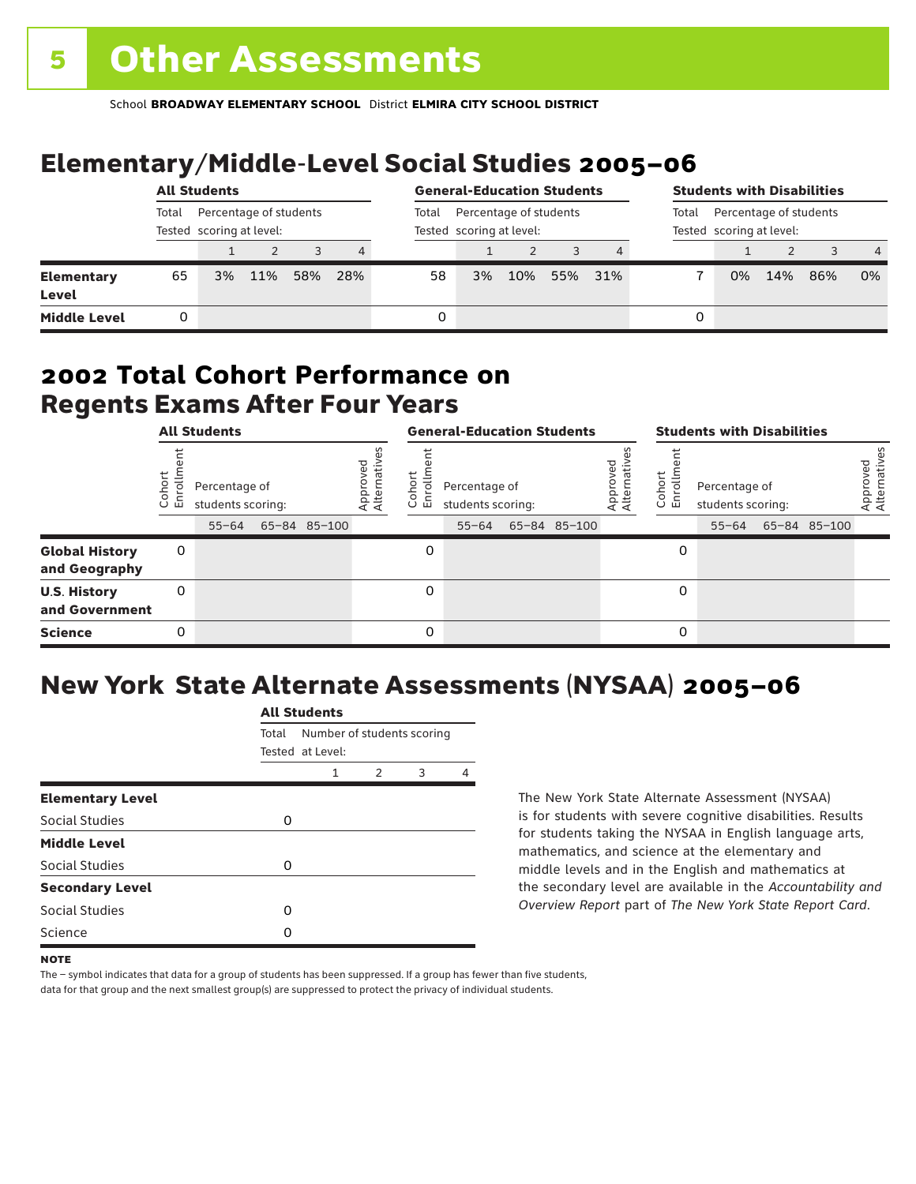# Elementary/Middle-Level Social Studies 2005–06

|                                   | <b>All Students</b> |                                                    |     |     |       | <b>General-Education Students</b>                  |    |     |     | <b>Students with Disabilities</b>                           |   |    |     |     |                |
|-----------------------------------|---------------------|----------------------------------------------------|-----|-----|-------|----------------------------------------------------|----|-----|-----|-------------------------------------------------------------|---|----|-----|-----|----------------|
|                                   | Total               | Percentage of students<br>Tested scoring at level: |     |     | Total | Percentage of students<br>Tested scoring at level: |    |     |     | Percentage of students<br>Total<br>Tested scoring at level: |   |    |     |     |                |
|                                   |                     |                                                    |     | 3   | 4     |                                                    |    |     |     |                                                             |   |    |     |     | $\overline{4}$ |
| <b>Elementary</b><br><b>Level</b> | 65                  | 3%                                                 | 11% | 58% | 28%   | 58                                                 | 3% | 10% | 55% | 31%                                                         |   | 0% | 14% | 86% | 0%             |
| <b>Middle Level</b>               | 0                   |                                                    |     |     |       | 0                                                  |    |     |     |                                                             | 0 |    |     |     |                |

### Regents Exams After Four Years 2002 **Total Cohort Performance on**

|                                        | <b>All Students</b>  |                                                 |  |              |                         | <b>General-Education Students</b> |                                                 |  |              |                         | <b>Students with Disabilities</b> |                                    |  |                    |                          |
|----------------------------------------|----------------------|-------------------------------------------------|--|--------------|-------------------------|-----------------------------------|-------------------------------------------------|--|--------------|-------------------------|-----------------------------------|------------------------------------|--|--------------------|--------------------------|
|                                        | oho<br>o,<br>ய்<br>ပ | Percentage of<br>students scoring:<br>$55 - 64$ |  | 65-84 85-100 | Approved<br>Alternative | <u>م</u><br>o.<br>ᆞ<br>$\cup$     | Percentage of<br>students scoring:<br>$55 - 64$ |  | 65-84 85-100 | Approved<br>Alternative | Cohort<br>rolln<br>문              | Percentage of<br>students scoring: |  | 55-64 65-84 85-100 | Approved<br>Alternatives |
| <b>Global History</b><br>and Geography | 0                    |                                                 |  |              |                         | 0                                 |                                                 |  |              |                         | 0                                 |                                    |  |                    |                          |
| <b>U.S. History</b><br>and Government  | 0                    |                                                 |  |              |                         | 0                                 |                                                 |  |              |                         | 0                                 |                                    |  |                    |                          |
| <b>Science</b>                         | 0                    |                                                 |  |              |                         | $\Omega$                          |                                                 |  |              |                         | 0                                 |                                    |  |                    |                          |

# New York State Alternate Assessments (NYSAA) 2005–06

|                         |       | All Students                                   |   |   |   |  |  |  |  |  |  |
|-------------------------|-------|------------------------------------------------|---|---|---|--|--|--|--|--|--|
|                         | Total | Number of students scoring<br>Tested at Level: |   |   |   |  |  |  |  |  |  |
|                         |       | 1                                              | 2 | 3 | Δ |  |  |  |  |  |  |
| <b>Elementary Level</b> |       |                                                |   |   |   |  |  |  |  |  |  |
| Social Studies          | 0     |                                                |   |   |   |  |  |  |  |  |  |
| <b>Middle Level</b>     |       |                                                |   |   |   |  |  |  |  |  |  |
| <b>Social Studies</b>   | O     |                                                |   |   |   |  |  |  |  |  |  |
| <b>Secondary Level</b>  |       |                                                |   |   |   |  |  |  |  |  |  |
| Social Studies          | O     |                                                |   |   |   |  |  |  |  |  |  |
| Science                 | n     |                                                |   |   |   |  |  |  |  |  |  |
|                         |       |                                                |   |   |   |  |  |  |  |  |  |

All Canada

The New York State Alternate Assessment (NYSAA) is for students with severe cognitive disabilities. Results for students taking the NYSAA in English language arts, mathematics, and science at the elementary and middle levels and in the English and mathematics at the secondary level are available in the *Accountability and Overview Report* part of *The New York State Report Card*.

The – symbol indicates that data for a group of students has been suppressed. If a group has fewer than five students, data for that group and the next smallest group(s) are suppressed to protect the privacy of individual students.

**NOTE**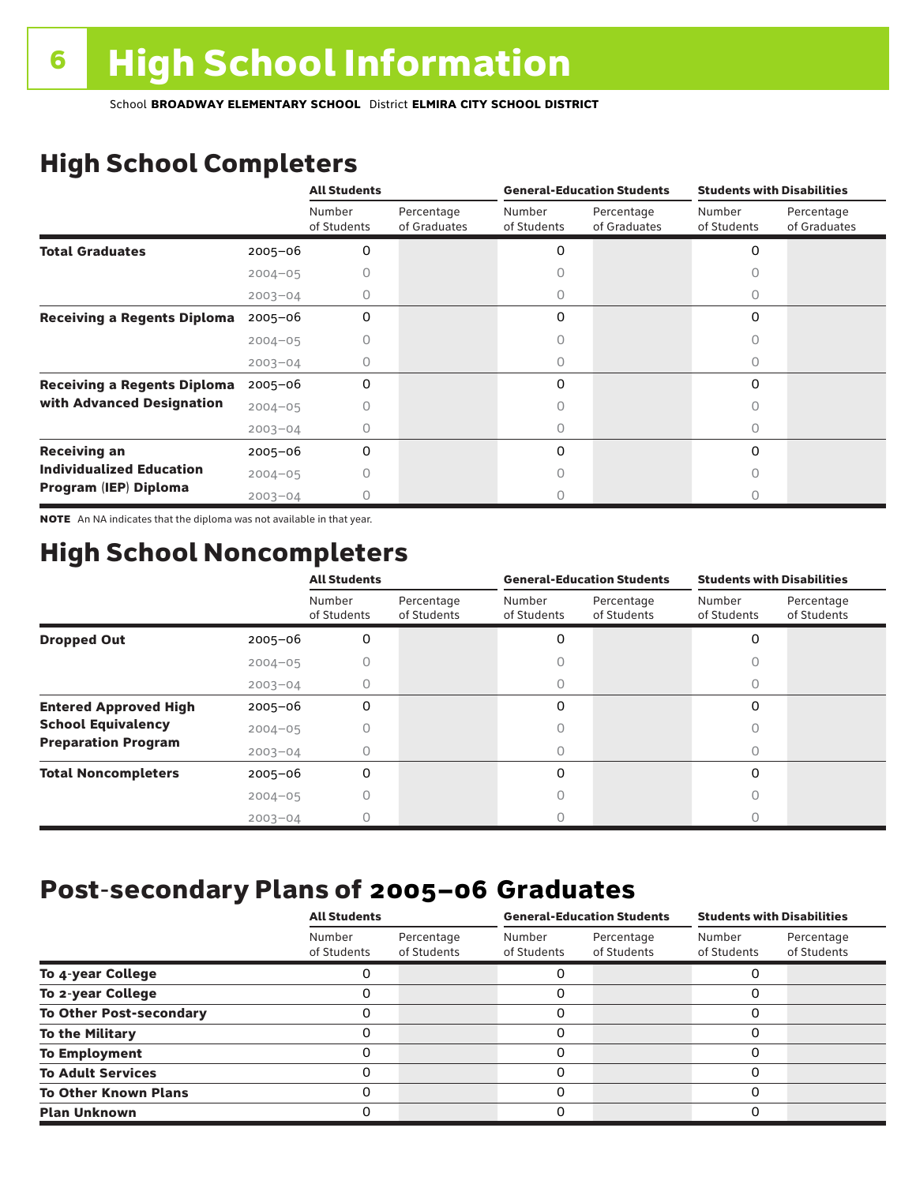# High School Completers

|                                    |             | <b>All Students</b>   |                            |                       | <b>General-Education Students</b> | <b>Students with Disabilities</b> |                            |  |
|------------------------------------|-------------|-----------------------|----------------------------|-----------------------|-----------------------------------|-----------------------------------|----------------------------|--|
|                                    |             | Number<br>of Students | Percentage<br>of Graduates | Number<br>of Students | Percentage<br>of Graduates        | Number<br>of Students             | Percentage<br>of Graduates |  |
| <b>Total Graduates</b>             | $2005 - 06$ | 0                     |                            | 0                     |                                   | 0                                 |                            |  |
|                                    | $2004 - 05$ |                       |                            |                       |                                   |                                   |                            |  |
|                                    | $2003 - 04$ | 0                     |                            | 0                     |                                   | 0                                 |                            |  |
| <b>Receiving a Regents Diploma</b> | $2005 - 06$ | 0                     |                            | 0                     |                                   | 0                                 |                            |  |
|                                    | $2004 - 05$ |                       |                            |                       |                                   | n                                 |                            |  |
|                                    | $2003 - 04$ | O                     |                            | O                     |                                   | Ω                                 |                            |  |
| <b>Receiving a Regents Diploma</b> | $2005 - 06$ | 0                     |                            | 0                     |                                   | $\Omega$                          |                            |  |
| with Advanced Designation          | $2004 - 05$ |                       |                            |                       |                                   |                                   |                            |  |
|                                    | $2003 - 04$ |                       |                            |                       |                                   | U                                 |                            |  |
| <b>Receiving an</b>                | $2005 - 06$ | 0                     |                            | 0                     |                                   | $\Omega$                          |                            |  |
| <b>Individualized Education</b>    | $2004 - 05$ |                       |                            |                       |                                   |                                   |                            |  |
| Program (IEP) Diploma              | $2003 - 04$ |                       |                            |                       |                                   |                                   |                            |  |

NOTE An NA indicates that the diploma was not available in that year.

## High School Noncompleters

|                              |             | <b>All Students</b>   |                           | <b>General-Education Students</b> |                           | <b>Students with Disabilities</b> |                           |
|------------------------------|-------------|-----------------------|---------------------------|-----------------------------------|---------------------------|-----------------------------------|---------------------------|
|                              |             | Number<br>of Students | Percentage<br>of Students | Number<br>of Students             | Percentage<br>of Students | Number<br>of Students             | Percentage<br>of Students |
| <b>Dropped Out</b>           | $2005 - 06$ | 0                     |                           | 0                                 |                           | 0                                 |                           |
|                              | $2004 - 05$ |                       |                           |                                   |                           |                                   |                           |
|                              | $2003 - 04$ |                       |                           |                                   |                           |                                   |                           |
| <b>Entered Approved High</b> | $2005 - 06$ | 0                     |                           | 0                                 |                           | 0                                 |                           |
| <b>School Equivalency</b>    | $2004 - 05$ |                       |                           |                                   |                           | O                                 |                           |
| <b>Preparation Program</b>   | $2003 - 04$ |                       |                           | 0                                 |                           | $\bigcap$                         |                           |
| <b>Total Noncompleters</b>   | $2005 - 06$ | 0                     |                           | 0                                 |                           | 0                                 |                           |
|                              | $2004 - 05$ |                       |                           |                                   |                           |                                   |                           |
|                              | $2003 - 04$ |                       |                           |                                   |                           |                                   |                           |

## Post-secondary Plans of 2005–06 **Graduates**

|                                | <b>All Students</b>   |                           |                       | <b>General-Education Students</b> | <b>Students with Disabilities</b> |                           |  |
|--------------------------------|-----------------------|---------------------------|-----------------------|-----------------------------------|-----------------------------------|---------------------------|--|
|                                | Number<br>of Students | Percentage<br>of Students | Number<br>of Students | Percentage<br>of Students         | Number<br>of Students             | Percentage<br>of Students |  |
| To 4-year College              |                       |                           |                       |                                   |                                   |                           |  |
| To 2-year College              | 0                     |                           | 0                     |                                   | 0                                 |                           |  |
| <b>To Other Post-secondary</b> |                       |                           | 0                     |                                   | O                                 |                           |  |
| <b>To the Military</b>         | 0                     |                           | 0                     |                                   | 0                                 |                           |  |
| <b>To Employment</b>           | 0                     |                           | 0                     |                                   | $\Omega$                          |                           |  |
| <b>To Adult Services</b>       | 0                     |                           | 0                     |                                   | O                                 |                           |  |
| <b>To Other Known Plans</b>    | 0                     |                           | 0                     |                                   | $\Omega$                          |                           |  |
| <b>Plan Unknown</b>            |                       |                           | 0                     |                                   | 0                                 |                           |  |